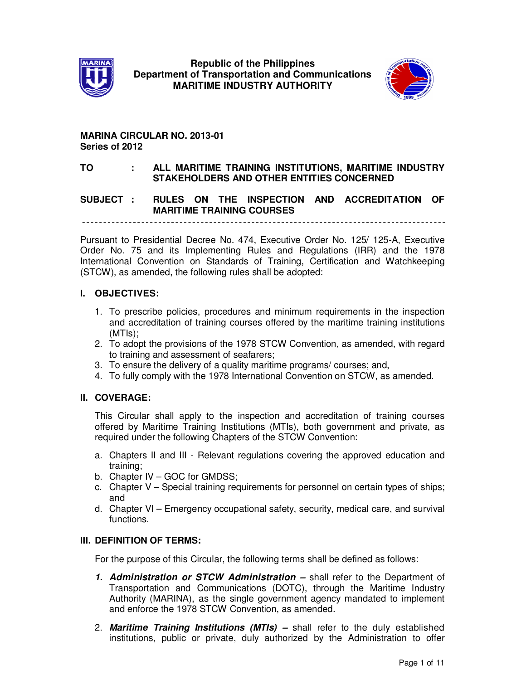



## **MARINA CIRCULAR NO. 2013-01 Series of 2012**

#### **TO : ALL MARITIME TRAINING INSTITUTIONS, MARITIME INDUSTRY STAKEHOLDERS AND OTHER ENTITIES CONCERNED**

## **SUBJECT : RULES ON THE INSPECTION AND ACCREDITATION OF MARITIME TRAINING COURSES**

Pursuant to Presidential Decree No. 474, Executive Order No. 125/ 125-A, Executive Order No. 75 and its Implementing Rules and Regulations (IRR) and the 1978 International Convention on Standards of Training, Certification and Watchkeeping (STCW), as amended, the following rules shall be adopted:

#### **I. OBJECTIVES:**

- 1. To prescribe policies, procedures and minimum requirements in the inspection and accreditation of training courses offered by the maritime training institutions (MTIs);
- 2. To adopt the provisions of the 1978 STCW Convention, as amended, with regard to training and assessment of seafarers;
- 3. To ensure the delivery of a quality maritime programs/ courses; and,
- 4. To fully comply with the 1978 International Convention on STCW, as amended.

#### **II. COVERAGE:**

This Circular shall apply to the inspection and accreditation of training courses offered by Maritime Training Institutions (MTIs), both government and private, as required under the following Chapters of the STCW Convention:

- a. Chapters II and III Relevant regulations covering the approved education and training;
- b. Chapter IV GOC for GMDSS;
- c. Chapter V Special training requirements for personnel on certain types of ships; and
- d. Chapter VI Emergency occupational safety, security, medical care, and survival functions.

#### **III. DEFINITION OF TERMS:**

For the purpose of this Circular, the following terms shall be defined as follows:

- **1. Administration or STCW Administration –** shall refer to the Department of Transportation and Communications (DOTC), through the Maritime Industry Authority (MARINA), as the single government agency mandated to implement and enforce the 1978 STCW Convention, as amended.
- 2. **Maritime Training Institutions (MTIs) –** shall refer to the duly established institutions, public or private, duly authorized by the Administration to offer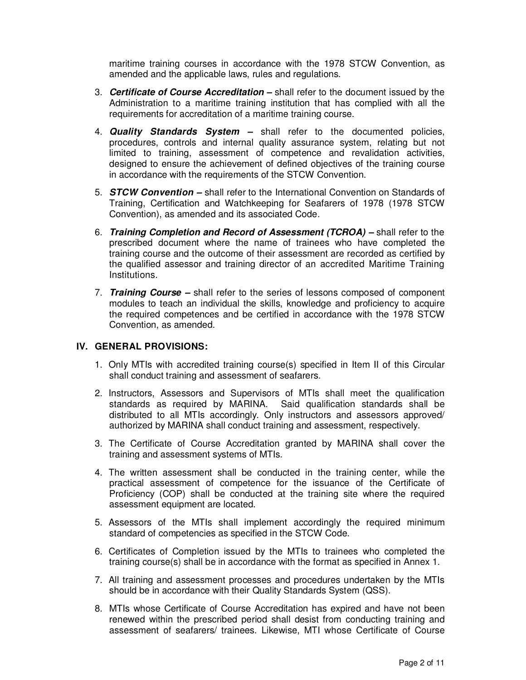maritime training courses in accordance with the 1978 STCW Convention, as amended and the applicable laws, rules and regulations.

- 3. **Certificate of Course Accreditation –** shall refer to the document issued by the Administration to a maritime training institution that has complied with all the requirements for accreditation of a maritime training course.
- 4. **Quality Standards System –** shall refer to the documented policies, procedures, controls and internal quality assurance system, relating but not limited to training, assessment of competence and revalidation activities, designed to ensure the achievement of defined objectives of the training course in accordance with the requirements of the STCW Convention.
- 5. **STCW Convention –** shall refer to the International Convention on Standards of Training, Certification and Watchkeeping for Seafarers of 1978 (1978 STCW Convention), as amended and its associated Code.
- 6. **Training Completion and Record of Assessment (TCROA) –** shall refer to the prescribed document where the name of trainees who have completed the training course and the outcome of their assessment are recorded as certified by the qualified assessor and training director of an accredited Maritime Training Institutions.
- 7. **Training Course** shall refer to the series of lessons composed of component modules to teach an individual the skills, knowledge and proficiency to acquire the required competences and be certified in accordance with the 1978 STCW Convention, as amended.

#### **IV. GENERAL PROVISIONS:**

- 1. Only MTIs with accredited training course(s) specified in Item II of this Circular shall conduct training and assessment of seafarers.
- 2. Instructors, Assessors and Supervisors of MTIs shall meet the qualification standards as required by MARINA. Said qualification standards shall be distributed to all MTIs accordingly. Only instructors and assessors approved/ authorized by MARINA shall conduct training and assessment, respectively.
- 3. The Certificate of Course Accreditation granted by MARINA shall cover the training and assessment systems of MTIs.
- 4. The written assessment shall be conducted in the training center, while the practical assessment of competence for the issuance of the Certificate of Proficiency (COP) shall be conducted at the training site where the required assessment equipment are located.
- 5. Assessors of the MTIs shall implement accordingly the required minimum standard of competencies as specified in the STCW Code.
- 6. Certificates of Completion issued by the MTIs to trainees who completed the training course(s) shall be in accordance with the format as specified in Annex 1.
- 7. All training and assessment processes and procedures undertaken by the MTIs should be in accordance with their Quality Standards System (QSS).
- 8. MTIs whose Certificate of Course Accreditation has expired and have not been renewed within the prescribed period shall desist from conducting training and assessment of seafarers/ trainees. Likewise, MTI whose Certificate of Course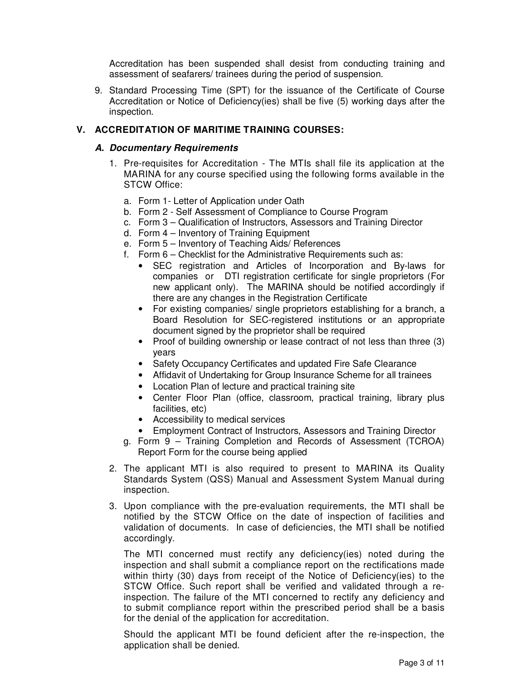Accreditation has been suspended shall desist from conducting training and assessment of seafarers/ trainees during the period of suspension.

9. Standard Processing Time (SPT) for the issuance of the Certificate of Course Accreditation or Notice of Deficiency(ies) shall be five (5) working days after the inspection.

#### **V. ACCREDITATION OF MARITIME TRAINING COURSES:**

#### **A. Documentary Requirements**

- 1. Pre-requisites for Accreditation The MTIs shall file its application at the MARINA for any course specified using the following forms available in the STCW Office:
	- a. Form 1- Letter of Application under Oath
	- b. Form 2 Self Assessment of Compliance to Course Program
	- c. Form 3 Qualification of Instructors, Assessors and Training Director
	- d. Form 4 Inventory of Training Equipment
	- e. Form 5 Inventory of Teaching Aids/ References
	- f. Form 6 Checklist for the Administrative Requirements such as:
		- SEC registration and Articles of Incorporation and By-laws for companies or DTI registration certificate for single proprietors (For new applicant only). The MARINA should be notified accordingly if there are any changes in the Registration Certificate
		- For existing companies/ single proprietors establishing for a branch, a Board Resolution for SEC-registered institutions or an appropriate document signed by the proprietor shall be required
		- Proof of building ownership or lease contract of not less than three (3) years
		- Safety Occupancy Certificates and updated Fire Safe Clearance
		- Affidavit of Undertaking for Group Insurance Scheme for all trainees
		- Location Plan of lecture and practical training site
		- Center Floor Plan (office, classroom, practical training, library plus facilities, etc)
		- Accessibility to medical services
		- Employment Contract of Instructors, Assessors and Training Director
	- g. Form 9 Training Completion and Records of Assessment (TCROA) Report Form for the course being applied
- 2. The applicant MTI is also required to present to MARINA its Quality Standards System (QSS) Manual and Assessment System Manual during inspection.
- 3. Upon compliance with the pre-evaluation requirements, the MTI shall be notified by the STCW Office on the date of inspection of facilities and validation of documents. In case of deficiencies, the MTI shall be notified accordingly.

The MTI concerned must rectify any deficiency(ies) noted during the inspection and shall submit a compliance report on the rectifications made within thirty (30) days from receipt of the Notice of Deficiency(ies) to the STCW Office. Such report shall be verified and validated through a reinspection. The failure of the MTI concerned to rectify any deficiency and to submit compliance report within the prescribed period shall be a basis for the denial of the application for accreditation.

Should the applicant MTI be found deficient after the re-inspection, the application shall be denied.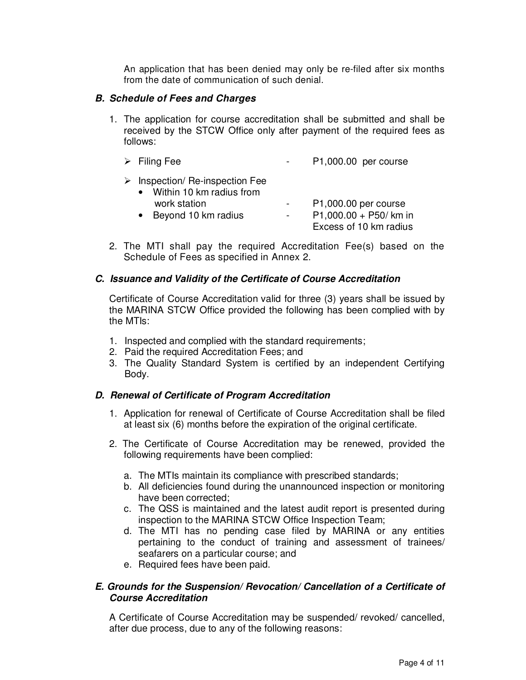An application that has been denied may only be re-filed after six months from the date of communication of such denial.

#### **B. Schedule of Fees and Charges**

1. The application for course accreditation shall be submitted and shall be received by the STCW Office only after payment of the required fees as follows:

| $\triangleright$ Filing Fee                                                  | P1,000.00 per course   |
|------------------------------------------------------------------------------|------------------------|
| $\triangleright$ Inspection/ Re-inspection Fee<br>• Within 10 km radius from |                        |
| work station                                                                 | P1,000.00 per course   |
| Beyond 10 km radius<br>$\bullet$                                             | P1,000.00 + P50/ km in |

 Excess of 10 km radius 2. The MTI shall pay the required Accreditation Fee(s) based on the Schedule of Fees as specified in Annex 2.

# **C. Issuance and Validity of the Certificate of Course Accreditation**

Certificate of Course Accreditation valid for three (3) years shall be issued by the MARINA STCW Office provided the following has been complied with by the MTIs:

- 1. Inspected and complied with the standard requirements;
- 2. Paid the required Accreditation Fees; and
- 3. The Quality Standard System is certified by an independent Certifying Body.

# **D. Renewal of Certificate of Program Accreditation**

- 1. Application for renewal of Certificate of Course Accreditation shall be filed at least six (6) months before the expiration of the original certificate.
- 2. The Certificate of Course Accreditation may be renewed, provided the following requirements have been complied:
	- a. The MTIs maintain its compliance with prescribed standards;
	- b. All deficiencies found during the unannounced inspection or monitoring have been corrected;
	- c. The QSS is maintained and the latest audit report is presented during inspection to the MARINA STCW Office Inspection Team;
	- d. The MTI has no pending case filed by MARINA or any entities pertaining to the conduct of training and assessment of trainees/ seafarers on a particular course; and
	- e. Required fees have been paid.

## **E. Grounds for the Suspension/ Revocation/ Cancellation of a Certificate of Course Accreditation**

A Certificate of Course Accreditation may be suspended/ revoked/ cancelled, after due process, due to any of the following reasons: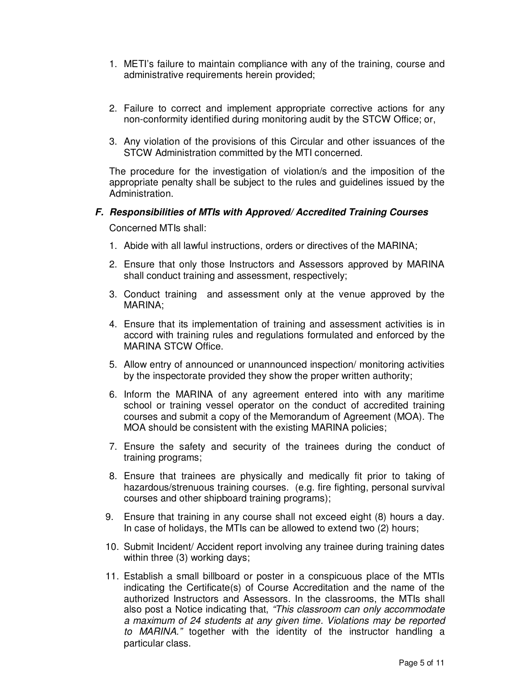- 1. METI's failure to maintain compliance with any of the training, course and administrative requirements herein provided;
- 2. Failure to correct and implement appropriate corrective actions for any non-conformity identified during monitoring audit by the STCW Office; or,
- 3. Any violation of the provisions of this Circular and other issuances of the STCW Administration committed by the MTI concerned.

The procedure for the investigation of violation/s and the imposition of the appropriate penalty shall be subject to the rules and guidelines issued by the Administration.

#### **F. Responsibilities of MTIs with Approved/ Accredited Training Courses**

Concerned MTIs shall:

- 1. Abide with all lawful instructions, orders or directives of the MARINA;
- 2. Ensure that only those Instructors and Assessors approved by MARINA shall conduct training and assessment, respectively;
- 3. Conduct training and assessment only at the venue approved by the MARINA;
- 4. Ensure that its implementation of training and assessment activities is in accord with training rules and regulations formulated and enforced by the MARINA STCW Office.
- 5. Allow entry of announced or unannounced inspection/ monitoring activities by the inspectorate provided they show the proper written authority;
- 6. Inform the MARINA of any agreement entered into with any maritime school or training vessel operator on the conduct of accredited training courses and submit a copy of the Memorandum of Agreement (MOA). The MOA should be consistent with the existing MARINA policies;
- 7. Ensure the safety and security of the trainees during the conduct of training programs;
- 8. Ensure that trainees are physically and medically fit prior to taking of hazardous/strenuous training courses. (e.g. fire fighting, personal survival courses and other shipboard training programs);
- 9. Ensure that training in any course shall not exceed eight (8) hours a day. In case of holidays, the MTIs can be allowed to extend two (2) hours;
- 10. Submit Incident/ Accident report involving any trainee during training dates within three (3) working days;
- 11. Establish a small billboard or poster in a conspicuous place of the MTIs indicating the Certificate(s) of Course Accreditation and the name of the authorized Instructors and Assessors. In the classrooms, the MTIs shall also post a Notice indicating that, "This classroom can only accommodate a maximum of 24 students at any given time. Violations may be reported to MARINA." together with the identity of the instructor handling a particular class.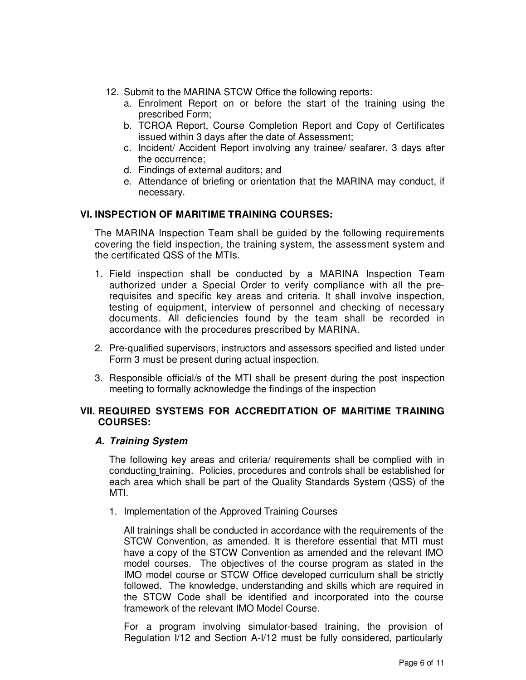- 12. Submit to the MARINA STCW Office the following reports:
	- a. Enrolment Report on or before the start of the training using the prescribed Form;
	- b. TCROA Report, Course Completion Report and Copy of Certificates issued within 3 days after the date of Assessment;
	- c. Incident/ Accident Report involving any trainee/ seafarer, 3 days after the occurrence;
	- d. Findings of external auditors; and
	- e. Attendance of briefing or orientation that the MARINA may conduct, if necessary.

## **VI. INSPECTION OF MARITIME TRAINING COURSES:**

The MARINA Inspection Team shall be guided by the following requirements covering the field inspection, the training system, the assessment system and the certificated QSS of the MTIs.

- 1. Field inspection shall be conducted by a MARINA Inspection Team authorized under a Special Order to verify compliance with all the prerequisites and specific key areas and criteria. It shall involve inspection, testing of equipment, interview of personnel and checking of necessary documents. All deficiencies found by the team shall be recorded in accordance with the procedures prescribed by MARINA.
- 2. Pre-qualified supervisors, instructors and assessors specified and listed under Form 3 must be present during actual inspection.
- 3. Responsible official/s of the MTI shall be present during the post inspection meeting to formally acknowledge the findings of the inspection

## **VII. REQUIRED SYSTEMS FOR ACCREDITATION OF MARITIME TRAINING COURSES:**

#### **A. Training System**

The following key areas and criteria/ requirements shall be complied with in conducting training. Policies, procedures and controls shall be established for each area which shall be part of the Quality Standards System (QSS) of the MTI.

1. Implementation of the Approved Training Courses

All trainings shall be conducted in accordance with the requirements of the STCW Convention, as amended. It is therefore essential that MTI must have a copy of the STCW Convention as amended and the relevant IMO model courses. The objectives of the course program as stated in the IMO model course or STCW Office developed curriculum shall be strictly followed. The knowledge, understanding and skills which are required in the STCW Code shall be identified and incorporated into the course framework of the relevant IMO Model Course.

For a program involving simulator-based training, the provision of Regulation I/12 and Section A-I/12 must be fully considered, particularly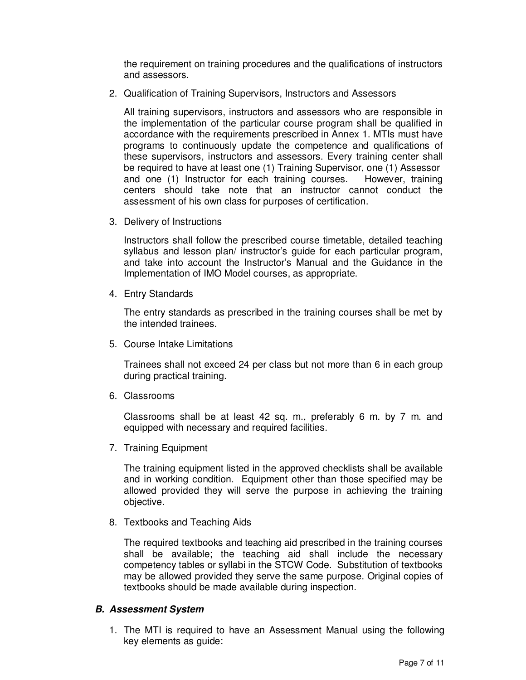the requirement on training procedures and the qualifications of instructors and assessors.

2. Qualification of Training Supervisors, Instructors and Assessors

All training supervisors, instructors and assessors who are responsible in the implementation of the particular course program shall be qualified in accordance with the requirements prescribed in Annex 1. MTIs must have programs to continuously update the competence and qualifications of these supervisors, instructors and assessors. Every training center shall be required to have at least one (1) Training Supervisor, one (1) Assessor and one (1) Instructor for each training courses. However, training centers should take note that an instructor cannot conduct the assessment of his own class for purposes of certification.

3. Delivery of Instructions

Instructors shall follow the prescribed course timetable, detailed teaching syllabus and lesson plan/ instructor's guide for each particular program, and take into account the Instructor's Manual and the Guidance in the Implementation of IMO Model courses, as appropriate.

4. Entry Standards

The entry standards as prescribed in the training courses shall be met by the intended trainees.

5. Course Intake Limitations

Trainees shall not exceed 24 per class but not more than 6 in each group during practical training.

6. Classrooms

Classrooms shall be at least 42 sq. m., preferably 6 m. by 7 m. and equipped with necessary and required facilities.

7. Training Equipment

The training equipment listed in the approved checklists shall be available and in working condition. Equipment other than those specified may be allowed provided they will serve the purpose in achieving the training objective.

8. Textbooks and Teaching Aids

The required textbooks and teaching aid prescribed in the training courses shall be available; the teaching aid shall include the necessary competency tables or syllabi in the STCW Code. Substitution of textbooks may be allowed provided they serve the same purpose. Original copies of textbooks should be made available during inspection.

#### **B. Assessment System**

1. The MTI is required to have an Assessment Manual using the following key elements as guide: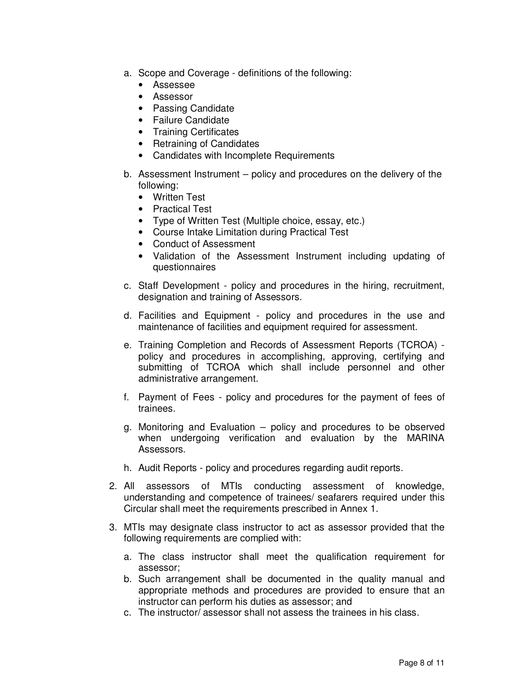- a. Scope and Coverage definitions of the following:
	- Assessee
	- Assessor
	- Passing Candidate
	- Failure Candidate
	- Training Certificates
	- Retraining of Candidates
	- Candidates with Incomplete Requirements
- b. Assessment Instrument policy and procedures on the delivery of the following:
	- Written Test
	- Practical Test
	- Type of Written Test (Multiple choice, essay, etc.)
	- Course Intake Limitation during Practical Test
	- Conduct of Assessment
	- Validation of the Assessment Instrument including updating of questionnaires
- c. Staff Development policy and procedures in the hiring, recruitment, designation and training of Assessors.
- d. Facilities and Equipment policy and procedures in the use and maintenance of facilities and equipment required for assessment.
- e. Training Completion and Records of Assessment Reports (TCROA) policy and procedures in accomplishing, approving, certifying and submitting of TCROA which shall include personnel and other administrative arrangement.
- f. Payment of Fees policy and procedures for the payment of fees of trainees.
- g. Monitoring and Evaluation policy and procedures to be observed when undergoing verification and evaluation by the MARINA Assessors.
- h. Audit Reports policy and procedures regarding audit reports.
- 2. All assessors of MTIs conducting assessment of knowledge, understanding and competence of trainees/ seafarers required under this Circular shall meet the requirements prescribed in Annex 1.
- 3. MTIs may designate class instructor to act as assessor provided that the following requirements are complied with:
	- a. The class instructor shall meet the qualification requirement for assessor;
	- b. Such arrangement shall be documented in the quality manual and appropriate methods and procedures are provided to ensure that an instructor can perform his duties as assessor; and
	- c. The instructor/ assessor shall not assess the trainees in his class.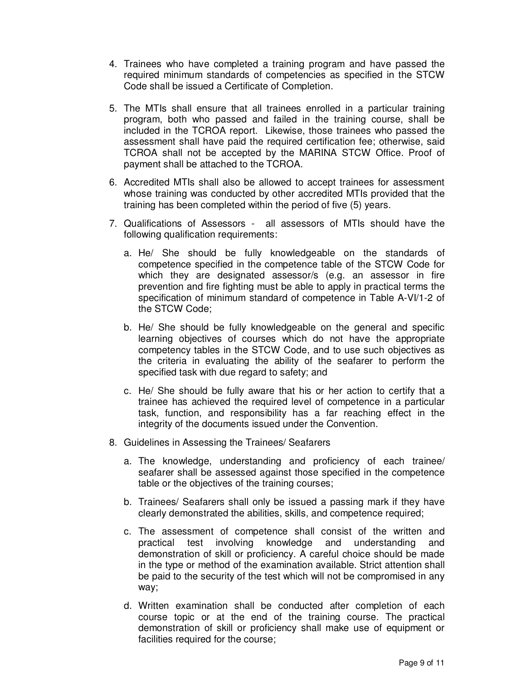- 4. Trainees who have completed a training program and have passed the required minimum standards of competencies as specified in the STCW Code shall be issued a Certificate of Completion.
- 5. The MTIs shall ensure that all trainees enrolled in a particular training program, both who passed and failed in the training course, shall be included in the TCROA report. Likewise, those trainees who passed the assessment shall have paid the required certification fee; otherwise, said TCROA shall not be accepted by the MARINA STCW Office. Proof of payment shall be attached to the TCROA.
- 6. Accredited MTIs shall also be allowed to accept trainees for assessment whose training was conducted by other accredited MTIs provided that the training has been completed within the period of five (5) years.
- 7. Qualifications of Assessors all assessors of MTIs should have the following qualification requirements:
	- a. He/ She should be fully knowledgeable on the standards of competence specified in the competence table of the STCW Code for which they are designated assessor/s (e.g. an assessor in fire prevention and fire fighting must be able to apply in practical terms the specification of minimum standard of competence in Table A-VI/1-2 of the STCW Code;
	- b. He/ She should be fully knowledgeable on the general and specific learning objectives of courses which do not have the appropriate competency tables in the STCW Code, and to use such objectives as the criteria in evaluating the ability of the seafarer to perform the specified task with due regard to safety; and
	- c. He/ She should be fully aware that his or her action to certify that a trainee has achieved the required level of competence in a particular task, function, and responsibility has a far reaching effect in the integrity of the documents issued under the Convention.
- 8. Guidelines in Assessing the Trainees/ Seafarers
	- a. The knowledge, understanding and proficiency of each trainee/ seafarer shall be assessed against those specified in the competence table or the objectives of the training courses;
	- b. Trainees/ Seafarers shall only be issued a passing mark if they have clearly demonstrated the abilities, skills, and competence required;
	- c. The assessment of competence shall consist of the written and practical test involving knowledge and understanding and demonstration of skill or proficiency. A careful choice should be made in the type or method of the examination available. Strict attention shall be paid to the security of the test which will not be compromised in any way;
	- d. Written examination shall be conducted after completion of each course topic or at the end of the training course. The practical demonstration of skill or proficiency shall make use of equipment or facilities required for the course;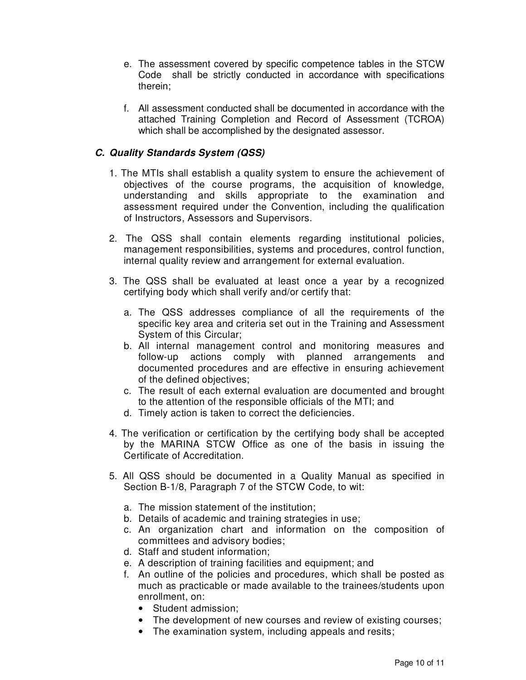- e. The assessment covered by specific competence tables in the STCW Code shall be strictly conducted in accordance with specifications therein;
- f. All assessment conducted shall be documented in accordance with the attached Training Completion and Record of Assessment (TCROA) which shall be accomplished by the designated assessor.

# **C. Quality Standards System (QSS)**

- 1. The MTIs shall establish a quality system to ensure the achievement of objectives of the course programs, the acquisition of knowledge, understanding and skills appropriate to the examination and assessment required under the Convention, including the qualification of Instructors, Assessors and Supervisors.
- 2. The QSS shall contain elements regarding institutional policies, management responsibilities, systems and procedures, control function, internal quality review and arrangement for external evaluation.
- 3. The QSS shall be evaluated at least once a year by a recognized certifying body which shall verify and/or certify that:
	- a. The QSS addresses compliance of all the requirements of the specific key area and criteria set out in the Training and Assessment System of this Circular;
	- b. All internal management control and monitoring measures and follow-up actions comply with planned arrangements and documented procedures and are effective in ensuring achievement of the defined objectives;
	- c. The result of each external evaluation are documented and brought to the attention of the responsible officials of the MTI; and
	- d. Timely action is taken to correct the deficiencies.
- 4. The verification or certification by the certifying body shall be accepted by the MARINA STCW Office as one of the basis in issuing the Certificate of Accreditation.
- 5. All QSS should be documented in a Quality Manual as specified in Section B-1/8, Paragraph 7 of the STCW Code, to wit:
	- a. The mission statement of the institution;
	- b. Details of academic and training strategies in use;
	- c. An organization chart and information on the composition of committees and advisory bodies;
	- d. Staff and student information;
	- e. A description of training facilities and equipment; and
	- f. An outline of the policies and procedures, which shall be posted as much as practicable or made available to the trainees/students upon enrollment, on:
		- Student admission;
		- The development of new courses and review of existing courses;
		- The examination system, including appeals and resits;